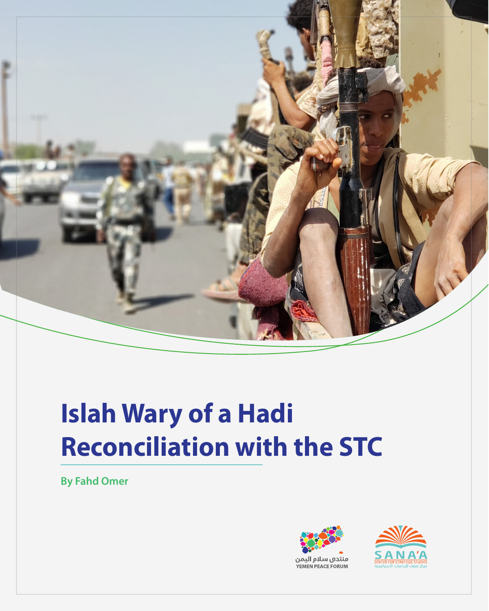

# **Islah Wary of a Hadi Reconciliation with the STC**

**By Fahd Omer**



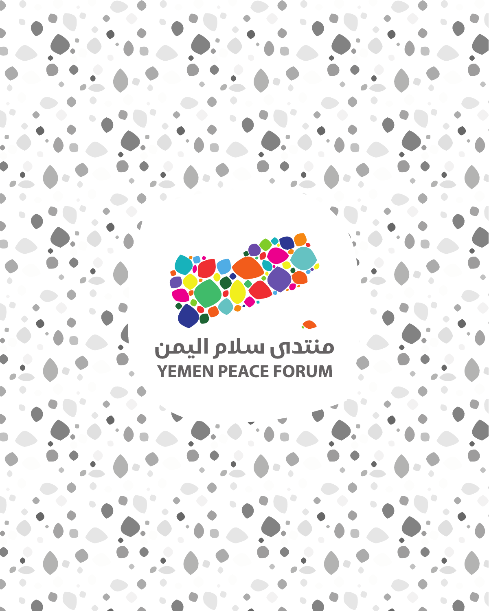# منتدى سلام اليمن **YEMEN PEACE FORUM**

REC.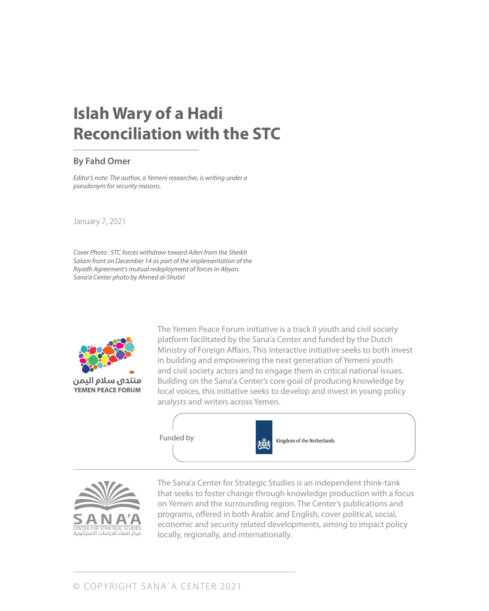# **Islah Wary of a Hadi Reconciliation with the STC**

#### **By Fahd Omer**

*Editor's note: The author, a Yemeni researcher, is writing under a pseudonym for security reasons.*

January 7, 2021

*Cover Photo : STC forces withdraw toward Aden from the Sheikh Salam front on December 14 as part of the implementation of the Riyadh Agreement's mutual redeployment of forces in Abyan. Sana'a Center photo by Ahmed al-Shutiri*



**YEMEN PEACE FORUM** 

The Yemen Peace Forum initiative is a track II youth and civil society platform facilitated by the Sana'a Center and funded by the Dutch Ministry of Foreign Affairs. This interactive initiative seeks to both invest in building and empowering the next generation of Yemeni youth and civil society actors and to engage them in critical national issues. Building on the Sana'a Center's core goal of producing knowledge by local voices, this initiative seeks to develop and invest in young policy analysts and writers across Yemen.





The Sana'a Center for Strategic Studies is an independent think-tank that seeks to foster change through knowledge production with a focus on Yemen and the surrounding region. The Center's publications and programs, offered in both Arabic and English, cover political, social, economic and security related developments, aiming to impact policy locally, regionally, and internationally.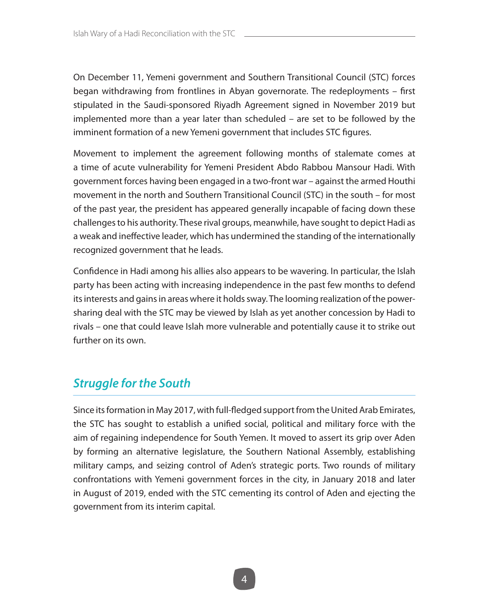On December 11, Yemeni government and Southern Transitional Council (STC) forces began withdrawing from frontlines in Abyan governorate. The redeployments – first stipulated in the Saudi-sponsored Riyadh Agreement signed in November 2019 but implemented more than a year later than scheduled – are set to be followed by the imminent formation of a new Yemeni government that includes STC figures.

Movement to implement the agreement following months of stalemate comes at a time of acute vulnerability for Yemeni President Abdo Rabbou Mansour Hadi. With government forces having been engaged in a two-front war – against the armed Houthi movement in the north and Southern Transitional Council (STC) in the south – for most of the past year, the president has appeared generally incapable of facing down these challenges to his authority. These rival groups, meanwhile, have sought to depict Hadi as a weak and ineffective leader, which has undermined the standing of the internationally recognized government that he leads.

Confidence in Hadi among his allies also appears to be wavering. In particular, the Islah party has been acting with increasing independence in the past few months to defend its interests and gains in areas where it holds sway. The looming realization of the powersharing deal with the STC may be viewed by Islah as yet another concession by Hadi to rivals – one that could leave Islah more vulnerable and potentially cause it to strike out further on its own.

## *Struggle for the South*

Since its formation in May 2017, with full-fledged support from the United Arab Emirates, the STC has sought to establish a unified social, political and military force with the aim of regaining independence for South Yemen. It moved to assert its grip over Aden by forming an alternative legislature, the Southern National Assembly, establishing military camps, and seizing control of Aden's strategic ports. Two rounds of military confrontations with Yemeni government forces in the city, in January 2018 and later in August of 2019, ended with the STC cementing its control of Aden and ejecting the government from its interim capital.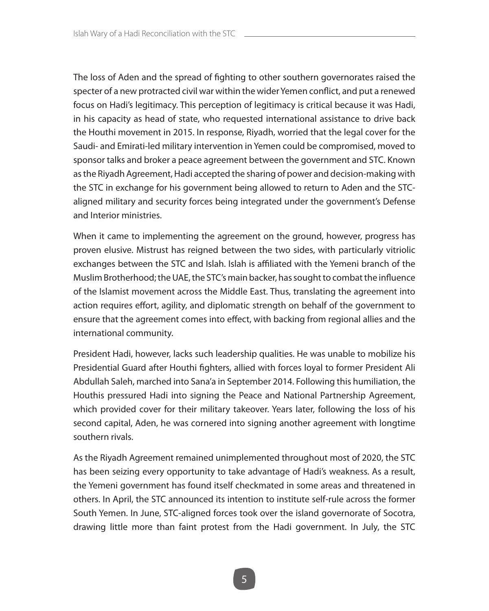The loss of Aden and the spread of fighting to other southern governorates raised the specter of a new protracted civil war within the wider Yemen conflict, and put a renewed focus on Hadi's legitimacy. This perception of legitimacy is critical because it was Hadi, in his capacity as head of state, who requested international assistance to drive back the Houthi movement in 2015. In response, Riyadh, worried that the legal cover for the Saudi- and Emirati-led military intervention in Yemen could be compromised, moved to sponsor talks and broker a peace agreement between the government and STC. Known as the Riyadh Agreement, Hadi accepted the sharing of power and decision-making with the STC in exchange for his government being allowed to return to Aden and the STCaligned military and security forces being integrated under the government's Defense and Interior ministries.

When it came to implementing the agreement on the ground, however, progress has proven elusive. Mistrust has reigned between the two sides, with particularly vitriolic exchanges between the STC and Islah. Islah is affiliated with the Yemeni branch of the Muslim Brotherhood; the UAE, the STC's main backer, has sought to combat the influence of the Islamist movement across the Middle East. Thus, translating the agreement into action requires effort, agility, and diplomatic strength on behalf of the government to ensure that the agreement comes into effect, with backing from regional allies and the international community.

President Hadi, however, lacks such leadership qualities. He was unable to mobilize his Presidential Guard after Houthi fighters, allied with forces loyal to former President Ali Abdullah Saleh, marched into Sana'a in September 2014. Following this humiliation, the Houthis pressured Hadi into signing the Peace and National Partnership Agreement, which provided cover for their military takeover. Years later, following the loss of his second capital, Aden, he was cornered into signing another agreement with longtime southern rivals.

As the Riyadh Agreement remained unimplemented throughout most of 2020, the STC has been seizing every opportunity to take advantage of Hadi's weakness. As a result, the Yemeni government has found itself checkmated in some areas and threatened in others. In April, the STC announced its intention to institute self-rule across the former South Yemen. In June, STC-aligned forces took over the island governorate of Socotra, drawing little more than faint protest from the Hadi government. In July, the STC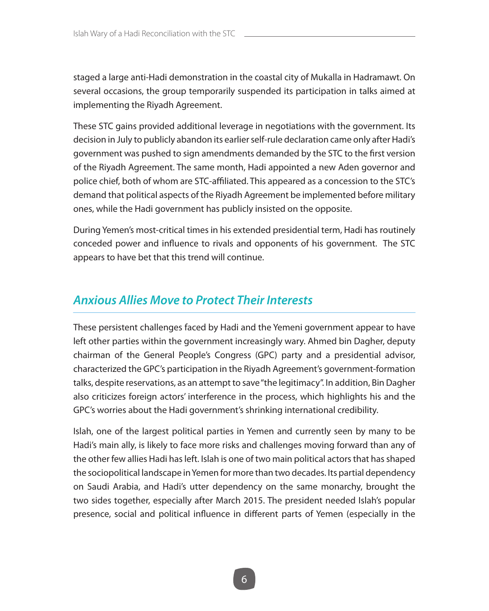staged a large anti-Hadi demonstration in the coastal city of Mukalla in Hadramawt. On several occasions, the group temporarily suspended its participation in talks aimed at implementing the Riyadh Agreement.

These STC gains provided additional leverage in negotiations with the government. Its decision in July to publicly abandon its earlier self-rule declaration came only after Hadi's government was pushed to sign amendments demanded by the STC to the first version of the Riyadh Agreement. The same month, Hadi appointed a new Aden governor and police chief, both of whom are STC-affiliated. This appeared as a concession to the STC's demand that political aspects of the Riyadh Agreement be implemented before military ones, while the Hadi government has publicly insisted on the opposite.

During Yemen's most-critical times in his extended presidential term, Hadi has routinely conceded power and influence to rivals and opponents of his government. The STC appears to have bet that this trend will continue.

### *Anxious Allies Move to Protect Their Interests*

These persistent challenges faced by Hadi and the Yemeni government appear to have left other parties within the government increasingly wary. Ahmed bin Dagher, deputy chairman of the General People's Congress (GPC) party and a presidential advisor, characterized the GPC's participation in the Riyadh Agreement's government-formation talks, despite reservations, as an attempt to save "the legitimacy". In addition, Bin Dagher also criticizes foreign actors' interference in the process, which highlights his and the GPC's worries about the Hadi government's shrinking international credibility.

Islah, one of the largest political parties in Yemen and currently seen by many to be Hadi's main ally, is likely to face more risks and challenges moving forward than any of the other few allies Hadi has left. Islah is one of two main political actors that has shaped the sociopolitical landscape in Yemen for more than two decades. Its partial dependency on Saudi Arabia, and Hadi's utter dependency on the same monarchy, brought the two sides together, especially after March 2015. The president needed Islah's popular presence, social and political influence in different parts of Yemen (especially in the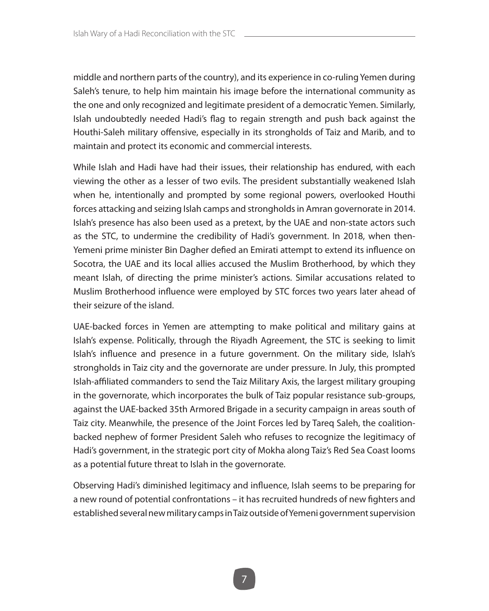middle and northern parts of the country), and its experience in co-ruling Yemen during Saleh's tenure, to help him maintain his image before the international community as the one and only recognized and legitimate president of a democratic Yemen. Similarly, Islah undoubtedly needed Hadi's flag to regain strength and push back against the Houthi-Saleh military offensive, especially in its strongholds of Taiz and Marib, and to maintain and protect its economic and commercial interests.

While Islah and Hadi have had their issues, their relationship has endured, with each viewing the other as a lesser of two evils. The president substantially weakened Islah when he, intentionally and prompted by some regional powers, overlooked Houthi forces attacking and seizing Islah camps and strongholds in Amran governorate in 2014. Islah's presence has also been used as a pretext, by the UAE and non-state actors such as the STC, to undermine the credibility of Hadi's government. In 2018, when then-Yemeni prime minister Bin Dagher defied an Emirati attempt to extend its influence on Socotra, the UAE and its local allies accused the Muslim Brotherhood, by which they meant Islah, of directing the prime minister's actions. Similar accusations related to Muslim Brotherhood influence were employed by STC forces two years later ahead of their seizure of the island.

UAE-backed forces in Yemen are attempting to make political and military gains at Islah's expense. Politically, through the Riyadh Agreement, the STC is seeking to limit Islah's influence and presence in a future government. On the military side, Islah's strongholds in Taiz city and the governorate are under pressure. In July, this prompted Islah-affiliated commanders to send the Taiz Military Axis, the largest military grouping in the governorate, which incorporates the bulk of Taiz popular resistance sub-groups, against the UAE-backed 35th Armored Brigade in a security campaign in areas south of Taiz city. Meanwhile, the presence of the Joint Forces led by Tareq Saleh, the coalitionbacked nephew of former President Saleh who refuses to recognize the legitimacy of Hadi's government, in the strategic port city of Mokha along Taiz's Red Sea Coast looms as a potential future threat to Islah in the governorate.

Observing Hadi's diminished legitimacy and influence, Islah seems to be preparing for a new round of potential confrontations – it has recruited hundreds of new fighters and established several new military camps in Taiz outside of Yemeni government supervision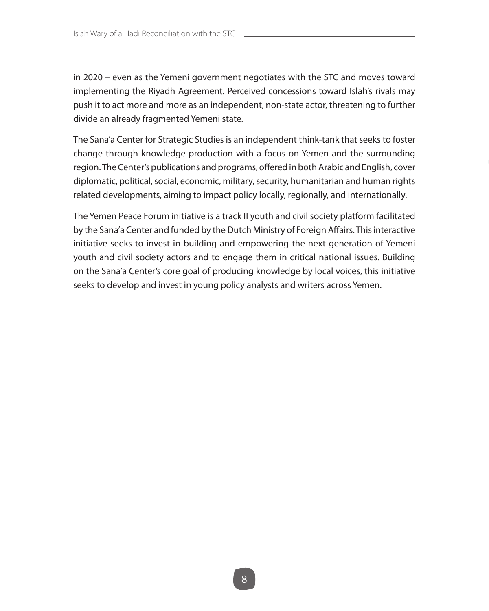in 2020 – even as the Yemeni government negotiates with the STC and moves toward implementing the Riyadh Agreement. Perceived concessions toward Islah's rivals may push it to act more and more as an independent, non-state actor, threatening to further divide an already fragmented Yemeni state.

The Sana'a Center for Strategic Studies is an independent think-tank that seeks to foster change through knowledge production with a focus on Yemen and the surrounding region. The Center's publications and programs, offered in both Arabic and English, cover diplomatic, political, social, economic, military, security, humanitarian and human rights related developments, aiming to impact policy locally, regionally, and internationally.

The Yemen Peace Forum initiative is a track II youth and civil society platform facilitated by the Sana'a Center and funded by the Dutch Ministry of Foreign Affairs. This interactive initiative seeks to invest in building and empowering the next generation of Yemeni youth and civil society actors and to engage them in critical national issues. Building on the Sana'a Center's core goal of producing knowledge by local voices, this initiative seeks to develop and invest in young policy analysts and writers across Yemen.